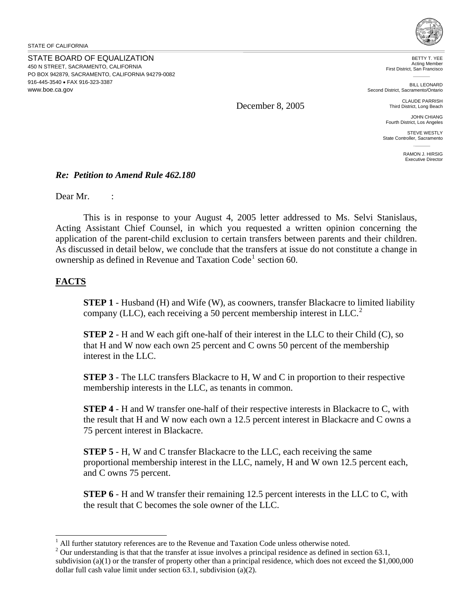STATE OF CALIFORNIA

STATE BOARD OF EQUALIZATION 450 N STREET, SACRAMENTO, CALIFORNIA PO BOX 942879, SACRAMENTO, CALIFORNIA 94279-0082 916-445-3540 • FAX 916-323-3387 <www.boe.ca.gov>



BETTY T. YEE Acting Member First District, San Francisco

BILL LEONARD Second District, Sacramento/Ontario

> CLAUDE PARRISH Third District, Long Beach

JOHN CHIANG Fourth District, Los Angeles

STEVE WESTLY State Controller, Sacramento

> RAMON J. HIRSIG Executive Director

#### *Re: Petition to Amend Rule 462.180*

Dear Mr. :

This is in response to your August 4, 2005 letter addressed to Ms. Selvi Stanislaus, Acting Assistant Chief Counsel, in which you requested a written opinion concerning the application of the parent-child exclusion to certain transfers between parents and their children. As discussed in detail below, we conclude that the transfers at issue do not constitute a change in ownership as defined in Revenue and Taxation Code<sup>[1](#page-0-0)</sup> section 60.

December 8, 2005

### **FACTS**

 $\overline{a}$ 

**STEP 1** - Husband (H) and Wife (W), as coowners, transfer Blackacre to limited liability company (LLC), each receiving a 50 percent membership interest in LLC.<sup>[2](#page-0-1)</sup>

**STEP 2** - H and W each gift one-half of their interest in the LLC to their Child (C), so that H and W now each own 25 percent and C owns 50 percent of the membership interest in the LLC.

**STEP 3** - The LLC transfers Blackacre to H, W and C in proportion to their respective membership interests in the LLC, as tenants in common.

**STEP 4** - H and W transfer one-half of their respective interests in Blackacre to C, with the result that H and W now each own a 12.5 percent interest in Blackacre and C owns a 75 percent interest in Blackacre.

**STEP 5** - H, W and C transfer Blackacre to the LLC, each receiving the same proportional membership interest in the LLC, namely, H and W own 12.5 percent each, and C owns 75 percent.

**STEP 6** - H and W transfer their remaining 12.5 percent interests in the LLC to C, with the result that C becomes the sole owner of the LLC.

<span id="page-0-0"></span><sup>&</sup>lt;sup>1</sup> All further statutory references are to the Revenue and Taxation Code unless otherwise noted.<br><sup>2</sup> Our understanding is that that the transfer at issue involves a principal residence as defined in

<span id="page-0-1"></span> Our understanding is that that the transfer at issue involves a principal residence as defined in section 63.1, subdivision (a)(1) or the transfer of property other than a principal residence, which does not exceed the \$1,000,000 dollar full cash value limit under section 63.1, subdivision (a)(2).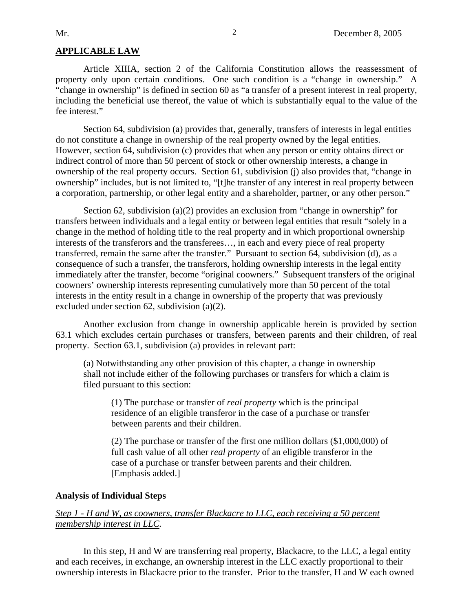#### **APPLICABLE LAW**

Article XIIIA, section 2 of the California Constitution allows the reassessment of property only upon certain conditions. One such condition is a "change in ownership." A "change in ownership" is defined in section 60 as "a transfer of a present interest in real property, including the beneficial use thereof, the value of which is substantially equal to the value of the fee interest."

Section 64, subdivision (a) provides that, generally, transfers of interests in legal entities do not constitute a change in ownership of the real property owned by the legal entities. However, section 64, subdivision (c) provides that when any person or entity obtains direct or indirect control of more than 50 percent of stock or other ownership interests, a change in ownership of the real property occurs. Section 61, subdivision (j) also provides that, "change in ownership" includes, but is not limited to, "[t]he transfer of any interest in real property between a corporation, partnership, or other legal entity and a shareholder, partner, or any other person."

Section 62, subdivision (a)(2) provides an exclusion from "change in ownership" for transfers between individuals and a legal entity or between legal entities that result "solely in a change in the method of holding title to the real property and in which proportional ownership interests of the transferors and the transferees…, in each and every piece of real property transferred, remain the same after the transfer." Pursuant to section 64, subdivision (d), as a consequence of such a transfer, the transferors, holding ownership interests in the legal entity immediately after the transfer, become "original coowners." Subsequent transfers of the original coowners' ownership interests representing cumulatively more than 50 percent of the total interests in the entity result in a change in ownership of the property that was previously excluded under section 62, subdivision (a)(2).

Another exclusion from change in ownership applicable herein is provided by section 63.1 which excludes certain purchases or transfers, between parents and their children, of real property. Section 63.1, subdivision (a) provides in relevant part:

(a) Notwithstanding any other provision of this chapter, a change in ownership shall not include either of the following purchases or transfers for which a claim is filed pursuant to this section:

(1) The purchase or transfer of *real property* which is the principal residence of an eligible transferor in the case of a purchase or transfer between parents and their children.

(2) The purchase or transfer of the first one million dollars (\$1,000,000) of full cash value of all other *real property* of an eligible transferor in the case of a purchase or transfer between parents and their children. [Emphasis added.]

#### **Analysis of Individual Steps**

#### *Step 1 - H and W, as coowners, transfer Blackacre to LLC, each receiving a 50 percent membership interest in LLC.*

In this step, H and W are transferring real property, Blackacre, to the LLC, a legal entity and each receives, in exchange, an ownership interest in the LLC exactly proportional to their ownership interests in Blackacre prior to the transfer. Prior to the transfer, H and W each owned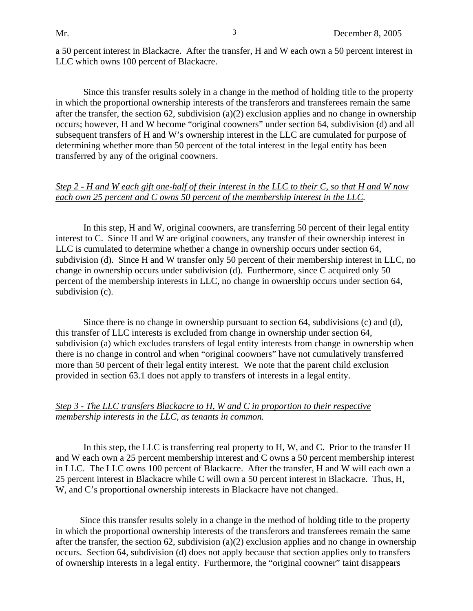a 50 percent interest in Blackacre. After the transfer, H and W each own a 50 percent interest in LLC which owns 100 percent of Blackacre.

Since this transfer results solely in a change in the method of holding title to the property in which the proportional ownership interests of the transferors and transferees remain the same after the transfer, the section 62, subdivision (a)(2) exclusion applies and no change in ownership occurs; however, H and W become "original coowners" under section 64, subdivision (d) and all subsequent transfers of H and W's ownership interest in the LLC are cumulated for purpose of determining whether more than 50 percent of the total interest in the legal entity has been transferred by any of the original coowners.

### *Step 2 - H and W each gift one-half of their interest in the LLC to their C, so that H and W now each own 25 percent and C owns 50 percent of the membership interest in the LLC.*

In this step, H and W, original coowners, are transferring 50 percent of their legal entity interest to C. Since H and W are original coowners, any transfer of their ownership interest in LLC is cumulated to determine whether a change in ownership occurs under section 64, subdivision (d). Since H and W transfer only 50 percent of their membership interest in LLC, no change in ownership occurs under subdivision (d). Furthermore, since C acquired only 50 percent of the membership interests in LLC, no change in ownership occurs under section 64, subdivision (c).

Since there is no change in ownership pursuant to section 64, subdivisions (c) and (d), this transfer of LLC interests is excluded from change in ownership under section 64, subdivision (a) which excludes transfers of legal entity interests from change in ownership when there is no change in control and when "original coowners" have not cumulatively transferred more than 50 percent of their legal entity interest. We note that the parent child exclusion provided in section 63.1 does not apply to transfers of interests in a legal entity.

## *Step 3 - The LLC transfers Blackacre to H, W and C in proportion to their respective membership interests in the LLC, as tenants in common.*

In this step, the LLC is transferring real property to H, W, and C. Prior to the transfer H and W each own a 25 percent membership interest and C owns a 50 percent membership interest in LLC. The LLC owns 100 percent of Blackacre. After the transfer, H and W will each own a 25 percent interest in Blackacre while C will own a 50 percent interest in Blackacre. Thus, H, W, and C's proportional ownership interests in Blackacre have not changed.

Since this transfer results solely in a change in the method of holding title to the property in which the proportional ownership interests of the transferors and transferees remain the same after the transfer, the section 62, subdivision  $(a)(2)$  exclusion applies and no change in ownership occurs. Section 64, subdivision (d) does not apply because that section applies only to transfers of ownership interests in a legal entity. Furthermore, the "original coowner" taint disappears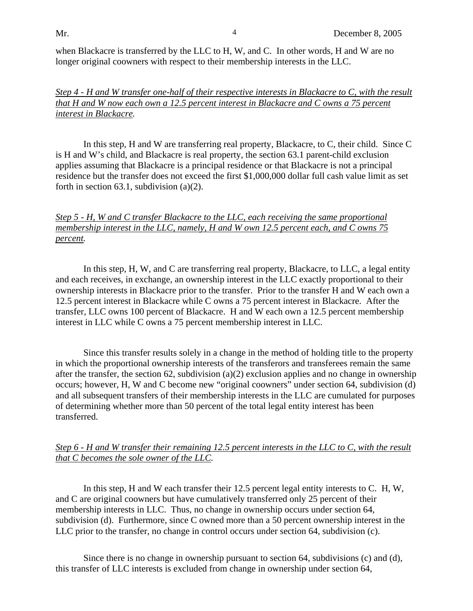when Blackacre is transferred by the LLC to H, W, and C. In other words, H and W are no longer original coowners with respect to their membership interests in the LLC.

## *Step 4 - H and W transfer one-half of their respective interests in Blackacre to C, with the result that H and W now each own a 12.5 percent interest in Blackacre and C owns a 75 percent interest in Blackacre.*

In this step, H and W are transferring real property, Blackacre, to C, their child. Since C is H and W's child, and Blackacre is real property, the section 63.1 parent-child exclusion applies assuming that Blackacre is a principal residence or that Blackacre is not a principal residence but the transfer does not exceed the first \$1,000,000 dollar full cash value limit as set forth in section  $63.1$ , subdivision  $(a)(2)$ .

## *Step 5 - H, W and C transfer Blackacre to the LLC, each receiving the same proportional membership interest in the LLC, namely, H and W own 12.5 percent each, and C owns 75 percent.*

In this step, H, W, and C are transferring real property, Blackacre, to LLC, a legal entity and each receives, in exchange, an ownership interest in the LLC exactly proportional to their ownership interests in Blackacre prior to the transfer. Prior to the transfer H and W each own a 12.5 percent interest in Blackacre while C owns a 75 percent interest in Blackacre. After the transfer, LLC owns 100 percent of Blackacre. H and W each own a 12.5 percent membership interest in LLC while C owns a 75 percent membership interest in LLC.

Since this transfer results solely in a change in the method of holding title to the property in which the proportional ownership interests of the transferors and transferees remain the same after the transfer, the section 62, subdivision (a)(2) exclusion applies and no change in ownership occurs; however, H, W and C become new "original coowners" under section 64, subdivision (d) and all subsequent transfers of their membership interests in the LLC are cumulated for purposes of determining whether more than 50 percent of the total legal entity interest has been transferred.

# *Step 6 - H and W transfer their remaining 12.5 percent interests in the LLC to C, with the result that C becomes the sole owner of the LLC.*

In this step, H and W each transfer their 12.5 percent legal entity interests to C. H, W, and C are original coowners but have cumulatively transferred only 25 percent of their membership interests in LLC. Thus, no change in ownership occurs under section 64, subdivision (d). Furthermore, since C owned more than a 50 percent ownership interest in the LLC prior to the transfer, no change in control occurs under section 64, subdivision (c).

Since there is no change in ownership pursuant to section 64, subdivisions (c) and (d), this transfer of LLC interests is excluded from change in ownership under section 64,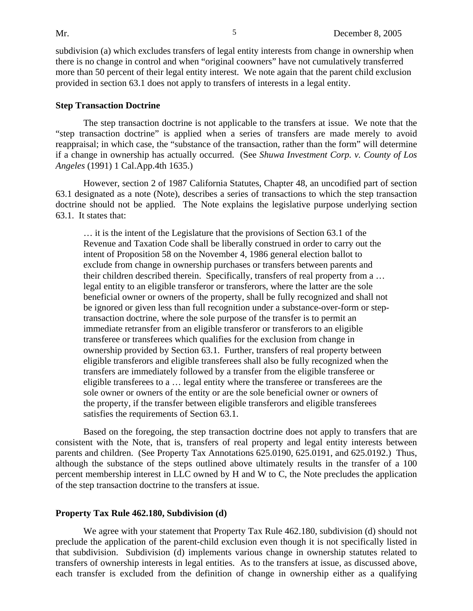subdivision (a) which excludes transfers of legal entity interests from change in ownership when there is no change in control and when "original coowners" have not cumulatively transferred more than 50 percent of their legal entity interest. We note again that the parent child exclusion provided in section 63.1 does not apply to transfers of interests in a legal entity.

#### **Step Transaction Doctrine**

The step transaction doctrine is not applicable to the transfers at issue. We note that the "step transaction doctrine" is applied when a series of transfers are made merely to avoid reappraisal; in which case, the "substance of the transaction, rather than the form" will determine if a change in ownership has actually occurred. (See *Shuwa Investment Corp. v. County of Los Angeles* (1991) 1 Cal.App.4th 1635.)

However, section 2 of 1987 California Statutes, Chapter 48, an uncodified part of section 63.1 designated as a note (Note), describes a series of transactions to which the step transaction doctrine should not be applied. The Note explains the legislative purpose underlying section 63.1. It states that:

… it is the intent of the Legislature that the provisions of Section 63.1 of the Revenue and Taxation Code shall be liberally construed in order to carry out the intent of Proposition 58 on the November 4, 1986 general election ballot to exclude from change in ownership purchases or transfers between parents and their children described therein. Specifically, transfers of real property from a … legal entity to an eligible transferor or transferors, where the latter are the sole beneficial owner or owners of the property, shall be fully recognized and shall not be ignored or given less than full recognition under a substance-over-form or steptransaction doctrine, where the sole purpose of the transfer is to permit an immediate retransfer from an eligible transferor or transferors to an eligible transferee or transferees which qualifies for the exclusion from change in ownership provided by Section 63.1. Further, transfers of real property between eligible transferors and eligible transferees shall also be fully recognized when the transfers are immediately followed by a transfer from the eligible transferee or eligible transferees to a … legal entity where the transferee or transferees are the sole owner or owners of the entity or are the sole beneficial owner or owners of the property, if the transfer between eligible transferors and eligible transferees satisfies the requirements of Section 63.1.

Based on the foregoing, the step transaction doctrine does not apply to transfers that are consistent with the Note, that is, transfers of real property and legal entity interests between parents and children. (See Property Tax Annotations 625.0190, 625.0191, and 625.0192.) Thus, although the substance of the steps outlined above ultimately results in the transfer of a 100 percent membership interest in LLC owned by H and W to C, the Note precludes the application of the step transaction doctrine to the transfers at issue.

#### **Property Tax Rule 462.180, Subdivision (d)**

We agree with your statement that Property Tax Rule 462.180, subdivision (d) should not preclude the application of the parent-child exclusion even though it is not specifically listed in that subdivision. Subdivision (d) implements various change in ownership statutes related to transfers of ownership interests in legal entities. As to the transfers at issue, as discussed above, each transfer is excluded from the definition of change in ownership either as a qualifying